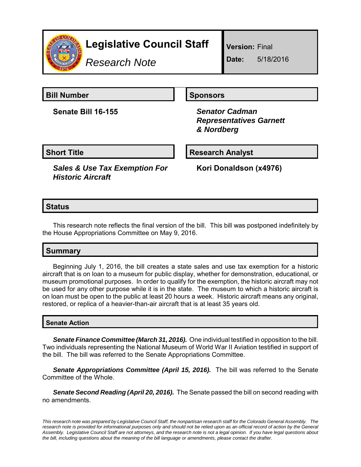

# **Legislative Council Staff**

*Research Note*

**Version:** Final

**Date:** 5/18/2016

**Bill Number Sponsors** Sponsors

**Senate Bill 16-155** *Senator Cadman*

 *Representatives Garnett & Nordberg*

**Short Title Community Community Community Research Analyst** 

*Sales & Use Tax Exemption For Historic Aircraft*

**Kori Donaldson (x4976)**

## **Status**

This research note reflects the final version of the bill. This bill was postponed indefinitely by the House Appropriations Committee on May 9, 2016.

# **Summary**

Beginning July 1, 2016, the bill creates a state sales and use tax exemption for a historic aircraft that is on loan to a museum for public display, whether for demonstration, educational, or museum promotional purposes. In order to qualify for the exemption, the historic aircraft may not be used for any other purpose while it is in the state. The museum to which a historic aircraft is on loan must be open to the public at least 20 hours a week. Historic aircraft means any original, restored, or replica of a heavier-than-air aircraft that is at least 35 years old.

### **Senate Action**

*Senate Finance Committee (March 31, 2016).* One individual testified in opposition to the bill. Two individuals representing the National Museum of World War II Aviation testified in support of the bill. The bill was referred to the Senate Appropriations Committee.

*Senate Appropriations Committee (April 15, 2016).* The bill was referred to the Senate Committee of the Whole.

*Senate Second Reading (April 20, 2016).* The Senate passed the bill on second reading with no amendments.

*This research note was prepared by Legislative Council Staff, the nonpartisan research staff for the Colorado General Assembly. The research note is provided for informational purposes only and should not be relied upon as an official record of action by the General Assembly. Legislative Council Staff are not attorneys, and the research note is not a legal opinion. If you have legal questions about the bill, including questions about the meaning of the bill language or amendments, please contact the drafter.*